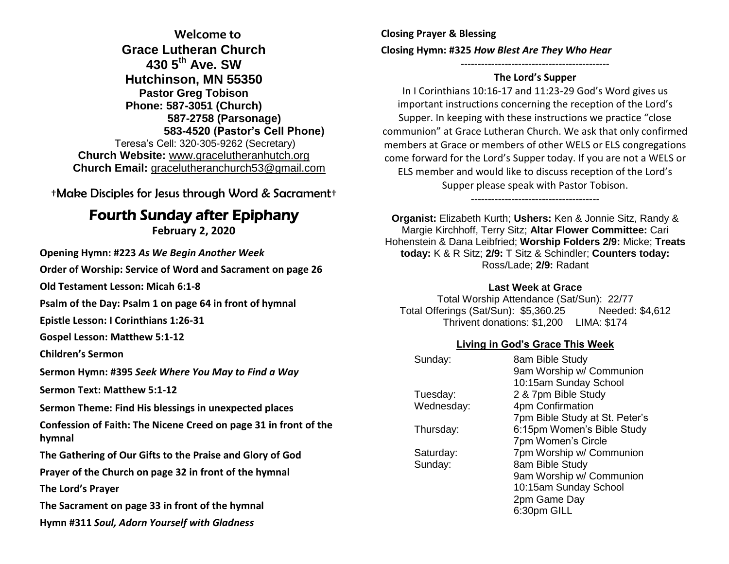**Welcome to Grace Lutheran Church 430 5th Ave. SW Hutchinson, MN 55350 Pastor Greg Tobison Phone: 587-3051 (Church) 587-2758 (Parsonage) 583-4520 (Pastor's Cell Phone)** Teresa's Cell: 320-305-9262 (Secretary) **Church Website:** [www.gracelutheranhutch.org](http://www.gracelutheranhutch.org/) **Church Email:** [gracelutheranchurch53@gmail.com](mailto:gracelutheranchurch53@gmail.com)

†Make Disciples for Jesus through Word & Sacrament†

# Fourth Sunday after Epiphany

**February 2, 2020**

**Opening Hymn: #223** *As We Begin Another Week*

**Order of Worship: Service of Word and Sacrament on page 26** 

**Old Testament Lesson: Micah 6:1-8**

**Psalm of the Day: Psalm 1 on page 64 in front of hymnal** 

**Epistle Lesson: I Corinthians 1:26-31**

**Gospel Lesson: Matthew 5:1-12**

**Children's Sermon**

**Sermon Hymn: #395** *Seek Where You May to Find a Way*

**Sermon Text: Matthew 5:1-12**

**Sermon Theme: Find His blessings in unexpected places**

**Confession of Faith: The Nicene Creed on page 31 in front of the hymnal**

**The Gathering of Our Gifts to the Praise and Glory of God**

**Prayer of the Church on page 32 in front of the hymnal**

**The Lord's Prayer**

**The Sacrament on page 33 in front of the hymnal** 

**Hymn #311** *Soul, Adorn Yourself with Gladness*

**Closing Prayer & Blessing Closing Hymn: #325** *How Blest Are They Who Hear*

#### -------------------------------------------- **The Lord's Supper**

In I Corinthians 10:16-17 and 11:23-29 God's Word gives us important instructions concerning the reception of the Lord's Supper. In keeping with these instructions we practice "close communion" at Grace Lutheran Church. We ask that only confirmed members at Grace or members of other WELS or ELS congregations come forward for the Lord's Supper today. If you are not a WELS or ELS member and would like to discuss reception of the Lord's Supper please speak with Pastor Tobison.

**Organist:** Elizabeth Kurth; **Ushers:** Ken & Jonnie Sitz, Randy & Margie Kirchhoff, Terry Sitz; **Altar Flower Committee:** Cari Hohenstein & Dana Leibfried; **Worship Folders 2/9:** Micke; **Treats today:** K & R Sitz; **2/9:** T Sitz & Schindler; **Counters today:** Ross/Lade; **2/9:** Radant

--------------------------------------

#### **Last Week at Grace**

Total Worship Attendance (Sat/Sun): 22/77 Total Offerings (Sat/Sun): \$5,360.25 Needed: \$4,612 Thrivent donations: \$1,200 LIMA: \$174

### **Living in God's Grace This Week**

| Sunday:    | 8am Bible Study                |
|------------|--------------------------------|
|            | 9am Worship w/ Communion       |
|            | 10:15am Sunday School          |
| Tuesday:   | 2 & 7pm Bible Study            |
| Wednesday: | 4pm Confirmation               |
|            | 7pm Bible Study at St. Peter's |
| Thursday:  | 6:15pm Women's Bible Study     |
|            | 7pm Women's Circle             |
| Saturday:  | 7pm Worship w/ Communion       |
| Sunday:    | 8am Bible Study                |
|            | 9am Worship w/ Communion       |
|            | 10:15am Sunday School          |
|            | 2pm Game Day                   |
|            | 6:30pm GILL                    |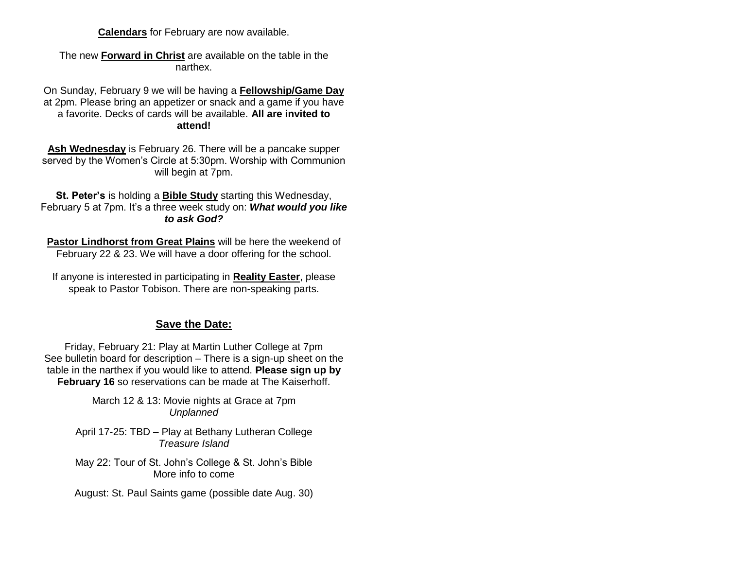**Calendars** for February are now available.

The new **Forward in Christ** are available on the table in the narthex.

On Sunday, February 9 we will be having a **Fellowship/Game Day** at 2pm. Please bring an appetizer or snack and a game if you have a favorite. Decks of cards will be available. **All are invited to attend!**

**Ash Wednesday** is February 26. There will be a pancake supper served by the Women's Circle at 5:30pm. Worship with Communion will begin at 7pm.

**St. Peter's** is holding a **Bible Study** starting this Wednesday, February 5 at 7pm. It's a three week study on: *What would you like to ask God?*

**Pastor Lindhorst from Great Plains** will be here the weekend of February 22 & 23. We will have a door offering for the school.

If anyone is interested in participating in **Reality Easter**, please speak to Pastor Tobison. There are non-speaking parts.

### **Save the Date:**

Friday, February 21: Play at Martin Luther College at 7pm See bulletin board for description – There is a sign-up sheet on the table in the narthex if you would like to attend. **Please sign up by February 16** so reservations can be made at The Kaiserhoff.

> March 12 & 13: Movie nights at Grace at 7pm *Unplanned*

April 17-25: TBD – Play at Bethany Lutheran College *Treasure Island*

May 22: Tour of St. John's College & St. John's Bible More info to come

August: St. Paul Saints game (possible date Aug. 30)